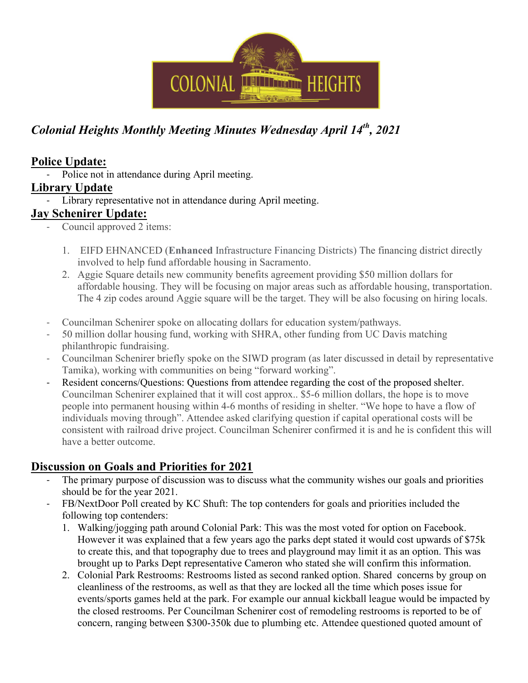

# Colonial Heights Monthly Meeting Minutes Wednesday April  $14^{th}$ , 2021

#### Police Update:

- Police not in attendance during April meeting.

#### Library Update

Library representative not in attendance during April meeting.

#### Jay Schenirer Update:

- Council approved 2 items:
	- 1. EIFD EHNANCED (Enhanced Infrastructure Financing Districts) The financing district directly involved to help fund affordable housing in Sacramento.
	- 2. Aggie Square details new community benefits agreement providing \$50 million dollars for affordable housing. They will be focusing on major areas such as affordable housing, transportation. The 4 zip codes around Aggie square will be the target. They will be also focusing on hiring locals.
- Councilman Schenirer spoke on allocating dollars for education system/pathways.
- 50 million dollar housing fund, working with SHRA, other funding from UC Davis matching philanthropic fundraising.
- Councilman Schenirer briefly spoke on the SIWD program (as later discussed in detail by representative Tamika), working with communities on being "forward working".
- Resident concerns/Questions: Questions from attendee regarding the cost of the proposed shelter. Councilman Schenirer explained that it will cost approx.. \$5-6 million dollars, the hope is to move people into permanent housing within 4-6 months of residing in shelter. "We hope to have a flow of individuals moving through". Attendee asked clarifying question if capital operational costs will be consistent with railroad drive project. Councilman Schenirer confirmed it is and he is confident this will have a better outcome.

### Discussion on Goals and Priorities for 2021

- The primary purpose of discussion was to discuss what the community wishes our goals and priorities should be for the year 2021.
- FB/NextDoor Poll created by KC Shuft: The top contenders for goals and priorities included the following top contenders:
	- 1. Walking/jogging path around Colonial Park: This was the most voted for option on Facebook. However it was explained that a few years ago the parks dept stated it would cost upwards of \$75k to create this, and that topography due to trees and playground may limit it as an option. This was brought up to Parks Dept representative Cameron who stated she will confirm this information.
	- 2. Colonial Park Restrooms: Restrooms listed as second ranked option. Shared concerns by group on cleanliness of the restrooms, as well as that they are locked all the time which poses issue for events/sports games held at the park. For example our annual kickball league would be impacted by the closed restrooms. Per Councilman Schenirer cost of remodeling restrooms is reported to be of concern, ranging between \$300-350k due to plumbing etc. Attendee questioned quoted amount of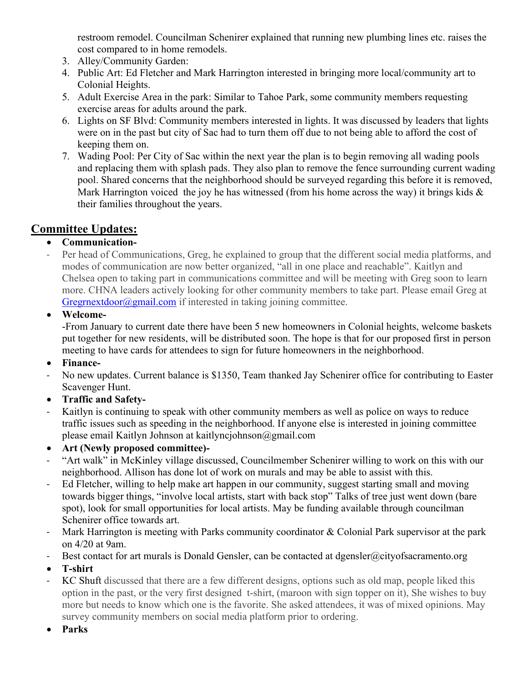restroom remodel. Councilman Schenirer explained that running new plumbing lines etc. raises the cost compared to in home remodels.

- 3. Alley/Community Garden:
- 4. Public Art: Ed Fletcher and Mark Harrington interested in bringing more local/community art to Colonial Heights.
- 5. Adult Exercise Area in the park: Similar to Tahoe Park, some community members requesting exercise areas for adults around the park.
- 6. Lights on SF Blvd: Community members interested in lights. It was discussed by leaders that lights were on in the past but city of Sac had to turn them off due to not being able to afford the cost of keeping them on.
- 7. Wading Pool: Per City of Sac within the next year the plan is to begin removing all wading pools and replacing them with splash pads. They also plan to remove the fence surrounding current wading pool. Shared concerns that the neighborhood should be surveyed regarding this before it is removed, Mark Harrington voiced the joy he has witnessed (from his home across the way) it brings kids  $\&$ their families throughout the years.

### Committee Updates:

#### Communication-

- Per head of Communications, Greg, he explained to group that the different social media platforms, and modes of communication are now better organized, "all in one place and reachable". Kaitlyn and Chelsea open to taking part in communications committee and will be meeting with Greg soon to learn more. CHNA leaders actively looking for other community members to take part. Please email Greg at Gregrnextdoor@gmail.com if interested in taking joining committee.
- Welcome-

-From January to current date there have been 5 new homeowners in Colonial heights, welcome baskets put together for new residents, will be distributed soon. The hope is that for our proposed first in person meeting to have cards for attendees to sign for future homeowners in the neighborhood.

- Finance-
- No new updates. Current balance is \$1350, Team thanked Jay Schenirer office for contributing to Easter Scavenger Hunt.
- Traffic and Safety-
- Kaitlyn is continuing to speak with other community members as well as police on ways to reduce traffic issues such as speeding in the neighborhood. If anyone else is interested in joining committee please email Kaitlyn Johnson at kaitlyncjohnson@gmail.com
- Art (Newly proposed committee)-
- "Art walk" in McKinley village discussed, Councilmember Schenirer willing to work on this with our neighborhood. Allison has done lot of work on murals and may be able to assist with this.
- Ed Fletcher, willing to help make art happen in our community, suggest starting small and moving towards bigger things, "involve local artists, start with back stop" Talks of tree just went down (bare spot), look for small opportunities for local artists. May be funding available through councilman Schenirer office towards art.
- Mark Harrington is meeting with Parks community coordinator & Colonial Park supervisor at the park on 4/20 at 9am.
- Best contact for art murals is Donald Gensler, can be contacted at dgensler@cityofsacramento.org
- T-shirt
- KC Shuft discussed that there are a few different designs, options such as old map, people liked this option in the past, or the very first designed t-shirt, (maroon with sign topper on it), She wishes to buy more but needs to know which one is the favorite. She asked attendees, it was of mixed opinions. May survey community members on social media platform prior to ordering.
- Parks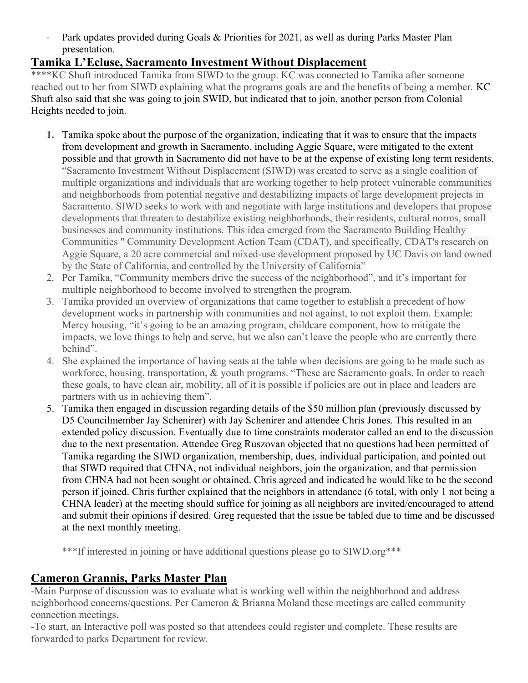- Park updates provided during Goals & Priorities for 2021, as well as during Parks Master Plan presentation.

#### Tamika L'Ecluse, Sacramento Investment Without Displacement

\*\*\*\*KC Shuft introduced Tamika from SIWD to the group. KC was connected to Tamika after someone reached out to her from SIWD explaining what the programs goals are and the benefits of being a member. KC Shuft also said that she was going to join SWID, but indicated that to join, another person from Colonial Heights needed to join.

- 1. Tamika spoke about the purpose of the organization, indicating that it was to ensure that the impacts from development and growth in Sacramento, including Aggie Square, were mitigated to the extent possible and that growth in Sacramento did not have to be at the expense of existing long term residents. "Sacramento Investment Without Displacement (SIWD) was created to serve as a single coalition of multiple organizations and individuals that are working together to help protect vulnerable communities and neighborhoods from potential negative and destabilizing impacts of large development projects in Sacramento. SIWD seeks to work with and negotiate with large institutions and developers that propose developments that threaten to destabilize existing neighborhoods, their residents, cultural norms, small businesses and community institutions. This idea emerged from the Sacramento Building Healthy Communities " Community Development Action Team (CDAT), and specifically, CDAT's research on Aggie Square, a 20 acre commercial and mixed-use development proposed by UC Davis on land owned by the State of California, and controlled by the University of California"
- 2. Per Tamika, "Community members drive the success of the neighborhood", and it's important for multiple neighborhood to become involved to strengthen the program.
- 3. Tamika provided an overview of organizations that came together to establish a precedent of how development works in partnership with communities and not against, to not exploit them. Example: Mercy housing, "it's going to be an amazing program, childcare component, how to mitigate the impacts, we love things to help and serve, but we also can't leave the people who are currently there behind".
- 4. She explained the importance of having seats at the table when decisions are going to be made such as workforce, housing, transportation, & youth programs. "These are Sacramento goals. In order to reach these goals, to have clean air, mobility, all of it is possible if policies are out in place and leaders are partners with us in achieving them".
- 5. Tamika then engaged in discussion regarding details of the \$50 million plan (previously discussed by D5 Councilmember Jay Schenirer) with Jay Schenirer and attendee Chris Jones. This resulted in an extended policy discussion. Eventually due to time constraints moderator called an end to the discussion due to the next presentation. Attendee Greg Ruszovan objected that no questions had been permitted of Tamika regarding the SIWD organization, membership, dues, individual participation, and pointed out that SIWD required that CHNA, not individual neighbors, join the organization, and that permission from CHNA had not been sought or obtained. Chris agreed and indicated he would like to be the second person if joined. Chris further explained that the neighbors in attendance (6 total, with only 1 not being a CHNA leader) at the meeting should suffice for joining as all neighbors are invited/encouraged to attend and submit their opinions if desired. Greg requested that the issue be tabled due to time and be discussed at the next monthly meeting.

\*\*\*If interested in joining or have additional questions please go to SIWD.org\*\*\*

## Cameron Grannis, Parks Master Plan

-Main Purpose of discussion was to evaluate what is working well within the neighborhood and address neighborhood concerns/questions. Per Cameron & Brianna Moland these meetings are called community connection meetings.

-To start, an Interactive poll was posted so that attendees could register and complete. These results are forwarded to parks Department for review.